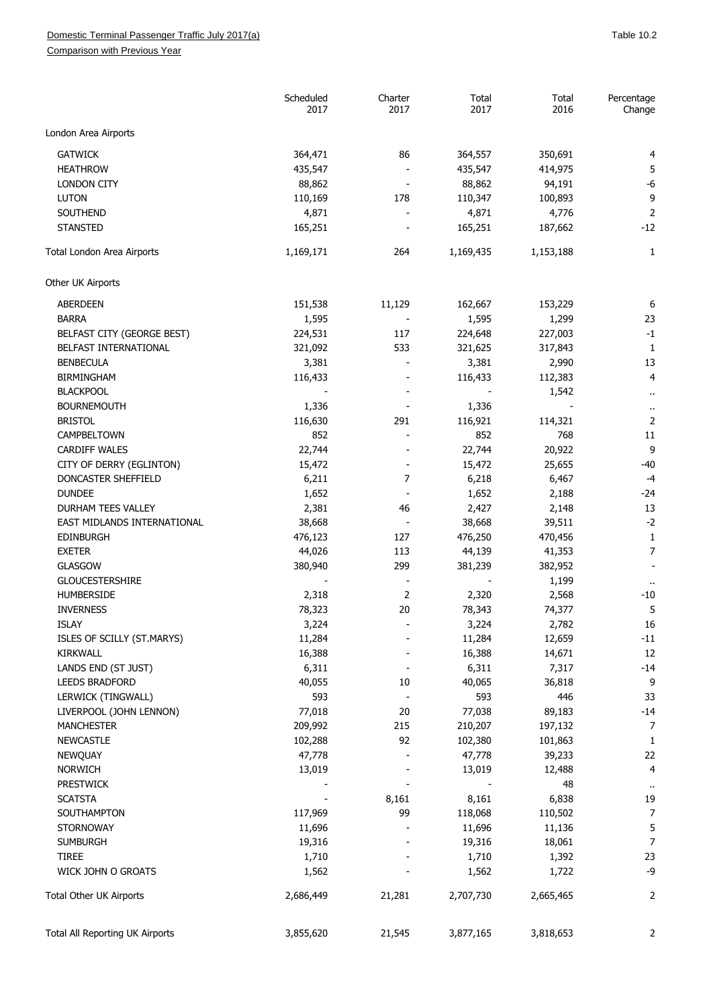## Domestic Terminal Passenger Traffic July 2017(a) and the contract of the contract of the contract of the contract of the 10.2

Comparison with Previous Year

|                                 | Scheduled<br>2017 | Charter<br>2017 | Total<br>2017 | Total<br>2016 | Percentage<br>Change |
|---------------------------------|-------------------|-----------------|---------------|---------------|----------------------|
| London Area Airports            |                   |                 |               |               |                      |
| <b>GATWICK</b>                  | 364,471           | 86              | 364,557       | 350,691       | 4                    |
| <b>HEATHROW</b>                 | 435,547           |                 | 435,547       | 414,975       | 5                    |
| <b>LONDON CITY</b>              | 88,862            |                 | 88,862        | 94,191        | $-6$                 |
| <b>LUTON</b>                    | 110,169           | 178             | 110,347       | 100,893       | 9                    |
| SOUTHEND                        | 4,871             |                 | 4,871         | 4,776         | $\overline{2}$       |
| <b>STANSTED</b>                 | 165,251           |                 | 165,251       | 187,662       | $-12$                |
| Total London Area Airports      | 1,169,171         | 264             | 1,169,435     | 1,153,188     | 1                    |
| Other UK Airports               |                   |                 |               |               |                      |
| ABERDEEN                        | 151,538           | 11,129          | 162,667       | 153,229       | 6                    |
| <b>BARRA</b>                    | 1,595             |                 | 1,595         | 1,299         | 23                   |
| BELFAST CITY (GEORGE BEST)      | 224,531           | 117             | 224,648       | 227,003       | $-1$                 |
| BELFAST INTERNATIONAL           | 321,092           | 533             | 321,625       | 317,843       | $\mathbf{1}$         |
| <b>BENBECULA</b>                | 3,381             |                 | 3,381         | 2,990         | 13                   |
| <b>BIRMINGHAM</b>               | 116,433           |                 | 116,433       | 112,383       | 4                    |
| <b>BLACKPOOL</b>                |                   |                 |               | 1,542         | $\ddot{\phantom{1}}$ |
| <b>BOURNEMOUTH</b>              | 1,336             |                 | 1,336         |               | $\ddot{\phantom{1}}$ |
| <b>BRISTOL</b>                  | 116,630           | 291             | 116,921       | 114,321       | $\overline{2}$       |
| CAMPBELTOWN                     | 852               |                 | 852           | 768           | 11                   |
| <b>CARDIFF WALES</b>            | 22,744            |                 | 22,744        | 20,922        | 9                    |
| CITY OF DERRY (EGLINTON)        | 15,472            |                 | 15,472        | 25,655        | $-40$                |
| DONCASTER SHEFFIELD             | 6,211             | 7               | 6,218         | 6,467         | $-4$                 |
| <b>DUNDEE</b>                   | 1,652             |                 | 1,652         | 2,188         | $-24$                |
| DURHAM TEES VALLEY              | 2,381             | 46              | 2,427         | 2,148         | 13                   |
| EAST MIDLANDS INTERNATIONAL     | 38,668            |                 | 38,668        | 39,511        | $-2$                 |
| <b>EDINBURGH</b>                | 476,123           | 127             | 476,250       | 470,456       | $\mathbf 1$          |
| <b>EXETER</b>                   | 44,026            | 113             | 44,139        | 41,353        | $\overline{7}$       |
| <b>GLASGOW</b>                  | 380,940           | 299             | 381,239       | 382,952       |                      |
| <b>GLOUCESTERSHIRE</b>          |                   |                 |               | 1,199         |                      |
| <b>HUMBERSIDE</b>               | 2,318             | 2               | 2,320         | 2,568         | $-10$                |
| <b>INVERNESS</b>                | 78,323            | 20              | 78,343        | 74,377        | 5                    |
| ISLAY                           | 3,224             |                 | 3,224         | 2,782         | 16                   |
| ISLES OF SCILLY (ST.MARYS)      | 11,284            |                 | 11,284        | 12,659        | $-11$                |
| KIRKWALL                        | 16,388            |                 | 16,388        | 14,671        | 12                   |
| LANDS END (ST JUST)             | 6,311             |                 | 6,311         | 7,317         | $-14$                |
| LEEDS BRADFORD                  | 40,055            | 10              | 40,065        | 36,818        | 9                    |
| LERWICK (TINGWALL)              | 593               |                 | 593           | 446           | 33                   |
| LIVERPOOL (JOHN LENNON)         | 77,018            | 20              | 77,038        | 89,183        | $-14$                |
| <b>MANCHESTER</b>               | 209,992           | 215             | 210,207       | 197,132       | 7                    |
| <b>NEWCASTLE</b>                | 102,288           | 92              | 102,380       | 101,863       | 1                    |
| <b>NEWQUAY</b>                  | 47,778            |                 | 47,778        | 39,233        | 22                   |
| <b>NORWICH</b>                  | 13,019            |                 | 13,019        | 12,488        | 4                    |
| <b>PRESTWICK</b>                |                   |                 |               | 48            | $\ddot{\phantom{1}}$ |
| <b>SCATSTA</b>                  |                   | 8,161           | 8,161         | 6,838         | 19                   |
| SOUTHAMPTON                     | 117,969           | 99              | 118,068       | 110,502       | 7                    |
| <b>STORNOWAY</b>                | 11,696            |                 | 11,696        | 11,136        | 5                    |
| <b>SUMBURGH</b>                 | 19,316            |                 | 19,316        | 18,061        | 7                    |
| <b>TIREE</b>                    | 1,710             |                 | 1,710         | 1,392         | 23                   |
| WICK JOHN O GROATS              | 1,562             |                 | 1,562         | 1,722         | -9                   |
| Total Other UK Airports         | 2,686,449         | 21,281          | 2,707,730     | 2,665,465     | 2                    |
|                                 |                   |                 |               |               |                      |
| Total All Reporting UK Airports | 3,855,620         | 21,545          | 3,877,165     | 3,818,653     | 2                    |